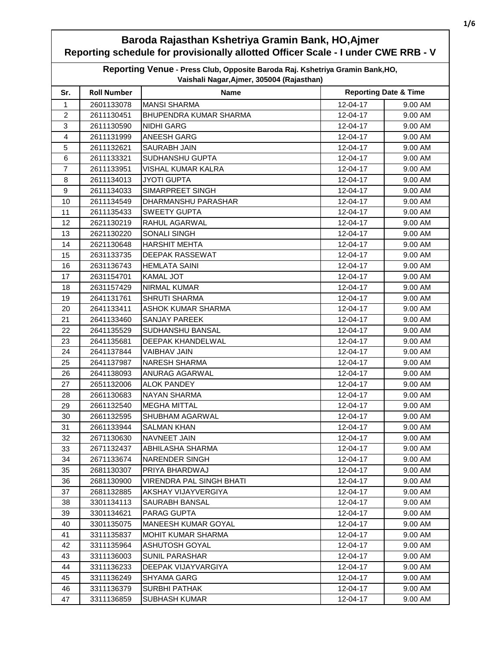| Baroda Rajasthan Kshetriya Gramin Bank, HO, Ajmer<br>Reporting schedule for provisionally allotted Officer Scale - I under CWE RRB - V<br>Reporting Venue - Press Club, Opposite Baroda Raj. Kshetriya Gramin Bank, HO,<br>Vaishali Nagar, Ajmer, 305004 (Rajasthan) |            |                                 |          |         |     |
|----------------------------------------------------------------------------------------------------------------------------------------------------------------------------------------------------------------------------------------------------------------------|------------|---------------------------------|----------|---------|-----|
|                                                                                                                                                                                                                                                                      |            |                                 |          |         | Sr. |
| $\mathbf{1}$                                                                                                                                                                                                                                                         | 2601133078 | <b>MANSI SHARMA</b>             | 12-04-17 | 9.00 AM |     |
| $\overline{2}$                                                                                                                                                                                                                                                       | 2611130451 | BHUPENDRA KUMAR SHARMA          | 12-04-17 | 9.00 AM |     |
| 3                                                                                                                                                                                                                                                                    | 2611130590 | <b>NIDHI GARG</b>               | 12-04-17 | 9.00 AM |     |
| 4                                                                                                                                                                                                                                                                    | 2611131999 | <b>ANEESH GARG</b>              | 12-04-17 | 9.00 AM |     |
| 5                                                                                                                                                                                                                                                                    | 2611132621 | <b>SAURABH JAIN</b>             | 12-04-17 | 9.00 AM |     |
| 6                                                                                                                                                                                                                                                                    | 2611133321 | SUDHANSHU GUPTA                 | 12-04-17 | 9.00 AM |     |
| $\overline{7}$                                                                                                                                                                                                                                                       | 2611133951 | <b>VISHAL KUMAR KALRA</b>       | 12-04-17 | 9.00 AM |     |
| 8                                                                                                                                                                                                                                                                    | 2611134013 | <b>JYOTI GUPTA</b>              | 12-04-17 | 9.00 AM |     |
| 9                                                                                                                                                                                                                                                                    | 2611134033 | SIMARPREET SINGH                | 12-04-17 | 9.00 AM |     |
| 10                                                                                                                                                                                                                                                                   | 2611134549 | DHARMANSHU PARASHAR             | 12-04-17 | 9.00 AM |     |
| 11                                                                                                                                                                                                                                                                   | 2611135433 | <b>SWEETY GUPTA</b>             | 12-04-17 | 9.00 AM |     |
| 12                                                                                                                                                                                                                                                                   | 2621130219 | RAHUL AGARWAL                   | 12-04-17 | 9.00 AM |     |
| 13                                                                                                                                                                                                                                                                   | 2621130220 | <b>SONALI SINGH</b>             | 12-04-17 | 9.00 AM |     |
| 14                                                                                                                                                                                                                                                                   | 2621130648 | <b>HARSHIT MEHTA</b>            | 12-04-17 | 9.00 AM |     |
| 15                                                                                                                                                                                                                                                                   | 2631133735 | DEEPAK RASSEWAT                 | 12-04-17 | 9.00 AM |     |
| 16                                                                                                                                                                                                                                                                   | 2631136743 | <b>HEMLATA SAINI</b>            | 12-04-17 | 9.00 AM |     |
| 17                                                                                                                                                                                                                                                                   | 2631154701 | <b>KAMAL JOT</b>                | 12-04-17 | 9.00 AM |     |
| 18                                                                                                                                                                                                                                                                   | 2631157429 | <b>NIRMAL KUMAR</b>             | 12-04-17 | 9.00 AM |     |
| 19                                                                                                                                                                                                                                                                   | 2641131761 | <b>SHRUTI SHARMA</b>            | 12-04-17 | 9.00 AM |     |
| 20                                                                                                                                                                                                                                                                   | 2641133411 | ASHOK KUMAR SHARMA              | 12-04-17 | 9.00 AM |     |
| 21                                                                                                                                                                                                                                                                   | 2641133460 | <b>SANJAY PAREEK</b>            | 12-04-17 | 9.00 AM |     |
| 22                                                                                                                                                                                                                                                                   | 2641135529 | SUDHANSHU BANSAL                | 12-04-17 | 9.00 AM |     |
| 23                                                                                                                                                                                                                                                                   | 2641135681 | DEEPAK KHANDELWAL               | 12-04-17 | 9.00 AM |     |
| 24                                                                                                                                                                                                                                                                   | 2641137844 | VAIBHAV JAIN                    | 12-04-17 | 9.00 AM |     |
| 25                                                                                                                                                                                                                                                                   | 2641137987 | <b>NARESH SHARMA</b>            | 12-04-17 | 9.00 AM |     |
| 26                                                                                                                                                                                                                                                                   | 2641138093 | ANURAG AGARWAL                  | 12-04-17 | 9.00 AM |     |
| 27                                                                                                                                                                                                                                                                   | 2651132006 | <b>ALOK PANDEY</b>              | 12-04-17 | 9.00 AM |     |
| 28                                                                                                                                                                                                                                                                   | 2661130683 | <b>NAYAN SHARMA</b>             | 12-04-17 | 9.00 AM |     |
| 29                                                                                                                                                                                                                                                                   | 2661132540 | <b>MEGHA MITTAL</b>             | 12-04-17 | 9.00 AM |     |
| 30                                                                                                                                                                                                                                                                   | 2661132595 | SHUBHAM AGARWAL                 | 12-04-17 | 9.00 AM |     |
| 31                                                                                                                                                                                                                                                                   | 2661133944 | <b>SALMAN KHAN</b>              | 12-04-17 | 9.00 AM |     |
| 32                                                                                                                                                                                                                                                                   | 2671130630 | <b>NAVNEET JAIN</b>             | 12-04-17 | 9.00 AM |     |
| 33                                                                                                                                                                                                                                                                   | 2671132437 | ABHILASHA SHARMA                | 12-04-17 | 9.00 AM |     |
| 34                                                                                                                                                                                                                                                                   | 2671133674 | NARENDER SINGH                  | 12-04-17 | 9.00 AM |     |
| 35                                                                                                                                                                                                                                                                   | 2681130307 | PRIYA BHARDWAJ                  | 12-04-17 | 9.00 AM |     |
| 36                                                                                                                                                                                                                                                                   | 2681130900 | <b>VIRENDRA PAL SINGH BHATI</b> | 12-04-17 | 9.00 AM |     |
| 37                                                                                                                                                                                                                                                                   | 2681132885 | AKSHAY VIJAYVERGIYA             | 12-04-17 | 9.00 AM |     |
| 38                                                                                                                                                                                                                                                                   | 3301134113 | SAURABH BANSAL                  | 12-04-17 | 9.00 AM |     |
| 39                                                                                                                                                                                                                                                                   | 3301134621 | PARAG GUPTA                     | 12-04-17 | 9.00 AM |     |
| 40                                                                                                                                                                                                                                                                   | 3301135075 | <b>MANEESH KUMAR GOYAL</b>      | 12-04-17 | 9.00 AM |     |
| 41                                                                                                                                                                                                                                                                   | 3311135837 | MOHIT KUMAR SHARMA              | 12-04-17 | 9.00 AM |     |
| 42                                                                                                                                                                                                                                                                   | 3311135964 | <b>ASHUTOSH GOYAL</b>           | 12-04-17 | 9.00 AM |     |
| 43                                                                                                                                                                                                                                                                   | 3311136003 | <b>SUNIL PARASHAR</b>           | 12-04-17 | 9.00 AM |     |
| 44                                                                                                                                                                                                                                                                   | 3311136233 | DEEPAK VIJAYVARGIYA             | 12-04-17 | 9.00 AM |     |
| 45                                                                                                                                                                                                                                                                   | 3311136249 | <b>SHYAMA GARG</b>              | 12-04-17 | 9.00 AM |     |
| 46                                                                                                                                                                                                                                                                   | 3311136379 | <b>SURBHI PATHAK</b>            | 12-04-17 | 9.00 AM |     |
| 47                                                                                                                                                                                                                                                                   | 3311136859 | SUBHASH KUMAR                   | 12-04-17 | 9.00 AM |     |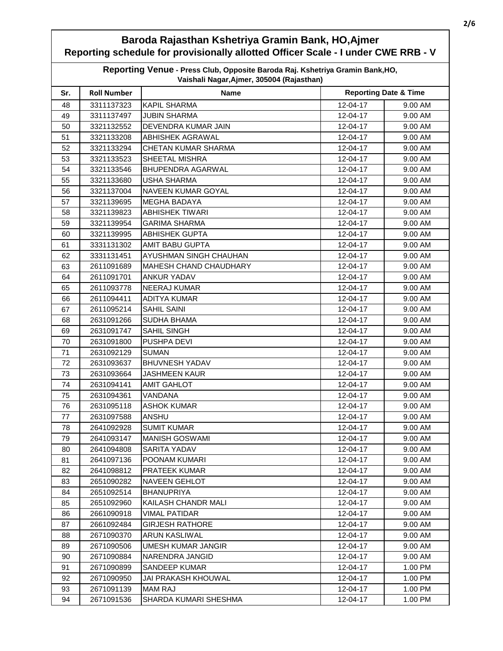| Baroda Rajasthan Kshetriya Gramin Bank, HO, Ajmer<br>Reporting schedule for provisionally allotted Officer Scale - I under CWE RRB - V<br>Reporting Venue - Press Club, Opposite Baroda Raj. Kshetriya Gramin Bank, HO,<br>Vaishali Nagar, Ajmer, 305004 (Rajasthan) |            |                            |          |         |
|----------------------------------------------------------------------------------------------------------------------------------------------------------------------------------------------------------------------------------------------------------------------|------------|----------------------------|----------|---------|
|                                                                                                                                                                                                                                                                      |            |                            |          |         |
| 48                                                                                                                                                                                                                                                                   | 3311137323 | <b>KAPIL SHARMA</b>        | 12-04-17 | 9.00 AM |
| 49                                                                                                                                                                                                                                                                   | 3311137497 | <b>JUBIN SHARMA</b>        | 12-04-17 | 9.00 AM |
| 50                                                                                                                                                                                                                                                                   | 3321132552 | DEVENDRA KUMAR JAIN        | 12-04-17 | 9.00 AM |
| 51                                                                                                                                                                                                                                                                   | 3321133208 | <b>ABHISHEK AGRAWAL</b>    | 12-04-17 | 9.00 AM |
| 52                                                                                                                                                                                                                                                                   | 3321133294 | CHETAN KUMAR SHARMA        | 12-04-17 | 9.00 AM |
| 53                                                                                                                                                                                                                                                                   | 3321133523 | SHEETAL MISHRA             | 12-04-17 | 9.00 AM |
| 54                                                                                                                                                                                                                                                                   | 3321133546 | BHUPENDRA AGARWAL          | 12-04-17 | 9.00 AM |
| 55                                                                                                                                                                                                                                                                   | 3321133680 | <b>USHA SHARMA</b>         | 12-04-17 | 9.00 AM |
| 56                                                                                                                                                                                                                                                                   | 3321137004 | NAVEEN KUMAR GOYAL         | 12-04-17 | 9.00 AM |
| 57                                                                                                                                                                                                                                                                   | 3321139695 | MEGHA BADAYA               | 12-04-17 | 9.00 AM |
| 58                                                                                                                                                                                                                                                                   | 3321139823 | <b>ABHISHEK TIWARI</b>     | 12-04-17 | 9.00 AM |
| 59                                                                                                                                                                                                                                                                   | 3321139954 | <b>GARIMA SHARMA</b>       | 12-04-17 | 9.00 AM |
| 60                                                                                                                                                                                                                                                                   | 3321139995 | <b>ABHISHEK GUPTA</b>      | 12-04-17 | 9.00 AM |
| 61                                                                                                                                                                                                                                                                   | 3331131302 | AMIT BABU GUPTA            | 12-04-17 | 9.00 AM |
| 62                                                                                                                                                                                                                                                                   | 3331131451 | AYUSHMAN SINGH CHAUHAN     | 12-04-17 | 9.00 AM |
| 63                                                                                                                                                                                                                                                                   | 2611091689 | MAHESH CHAND CHAUDHARY     | 12-04-17 | 9.00 AM |
| 64                                                                                                                                                                                                                                                                   | 2611091701 | <b>ANKUR YADAV</b>         | 12-04-17 | 9.00 AM |
| 65                                                                                                                                                                                                                                                                   | 2611093778 | NEERAJ KUMAR               | 12-04-17 | 9.00 AM |
| 66                                                                                                                                                                                                                                                                   | 2611094411 | <b>ADITYA KUMAR</b>        | 12-04-17 | 9.00 AM |
| 67                                                                                                                                                                                                                                                                   | 2611095214 | <b>SAHIL SAINI</b>         | 12-04-17 | 9.00 AM |
| 68                                                                                                                                                                                                                                                                   | 2631091266 | <b>SUDHA BHAMA</b>         | 12-04-17 | 9.00 AM |
| 69                                                                                                                                                                                                                                                                   | 2631091747 | SAHIL SINGH                | 12-04-17 | 9.00 AM |
| 70                                                                                                                                                                                                                                                                   | 2631091800 | PUSHPA DEVI                | 12-04-17 | 9.00 AM |
| 71                                                                                                                                                                                                                                                                   | 2631092129 | <b>SUMAN</b>               | 12-04-17 | 9.00 AM |
| 72                                                                                                                                                                                                                                                                   | 2631093637 | <b>BHUVNESH YADAV</b>      | 12-04-17 | 9.00 AM |
| 73                                                                                                                                                                                                                                                                   | 2631093664 | <b>JASHMEEN KAUR</b>       | 12-04-17 | 9.00 AM |
| 74                                                                                                                                                                                                                                                                   | 2631094141 | <b>AMIT GAHLOT</b>         | 12-04-17 | 9.00 AM |
| 75                                                                                                                                                                                                                                                                   | 2631094361 | VANDANA                    | 12-04-17 | 9.00 AM |
| 76                                                                                                                                                                                                                                                                   | 2631095118 | <b>ASHOK KUMAR</b>         | 12-04-17 | 9.00 AM |
| 77                                                                                                                                                                                                                                                                   | 2631097588 | <b>ANSHU</b>               | 12-04-17 | 9.00 AM |
| 78                                                                                                                                                                                                                                                                   | 2641092928 | <b>SUMIT KUMAR</b>         | 12-04-17 | 9.00 AM |
| 79                                                                                                                                                                                                                                                                   | 2641093147 | <b>MANISH GOSWAMI</b>      | 12-04-17 | 9.00 AM |
| 80                                                                                                                                                                                                                                                                   | 2641094808 | SARITA YADAV               | 12-04-17 | 9.00 AM |
| 81                                                                                                                                                                                                                                                                   | 2641097136 | POONAM KUMARI              | 12-04-17 | 9.00 AM |
| 82                                                                                                                                                                                                                                                                   | 2641098812 | <b>PRATEEK KUMAR</b>       | 12-04-17 | 9.00 AM |
| 83                                                                                                                                                                                                                                                                   | 2651090282 | <b>NAVEEN GEHLOT</b>       | 12-04-17 | 9.00 AM |
| 84                                                                                                                                                                                                                                                                   | 2651092514 | <b>BHANUPRIYA</b>          | 12-04-17 | 9.00 AM |
| 85                                                                                                                                                                                                                                                                   | 2651092960 | KAILASH CHANDR MALI        | 12-04-17 | 9.00 AM |
| 86                                                                                                                                                                                                                                                                   | 2661090918 | <b>VIMAL PATIDAR</b>       | 12-04-17 | 9.00 AM |
| 87                                                                                                                                                                                                                                                                   | 2661092484 | <b>GIRJESH RATHORE</b>     | 12-04-17 | 9.00 AM |
| 88                                                                                                                                                                                                                                                                   | 2671090370 | <b>ARUN KASLIWAL</b>       | 12-04-17 | 9.00 AM |
| 89                                                                                                                                                                                                                                                                   | 2671090506 | <b>UMESH KUMAR JANGIR</b>  | 12-04-17 | 9.00 AM |
| 90                                                                                                                                                                                                                                                                   | 2671090884 | NARENDRA JANGID            | 12-04-17 | 9.00 AM |
| 91                                                                                                                                                                                                                                                                   | 2671090899 | <b>SANDEEP KUMAR</b>       | 12-04-17 | 1.00 PM |
| 92                                                                                                                                                                                                                                                                   | 2671090950 | <b>JAI PRAKASH KHOUWAL</b> | 12-04-17 | 1.00 PM |
| 93                                                                                                                                                                                                                                                                   | 2671091139 | <b>MAM RAJ</b>             | 12-04-17 | 1.00 PM |
| 94                                                                                                                                                                                                                                                                   | 2671091536 | SHARDA KUMARI SHESHMA      | 12-04-17 | 1.00 PM |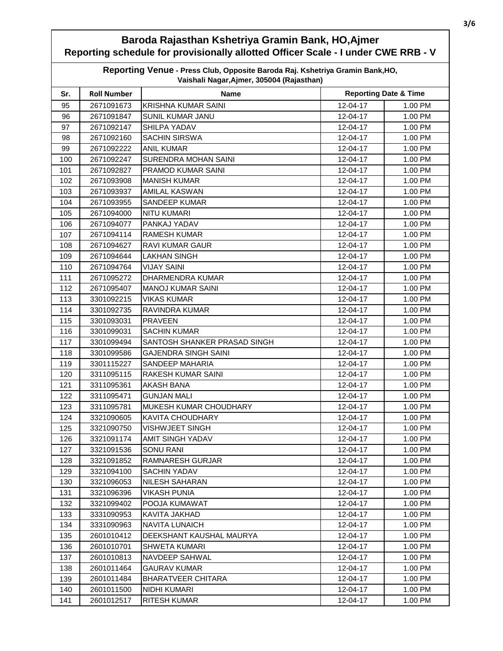| Baroda Rajasthan Kshetriya Gramin Bank, HO, Ajmer<br>Reporting schedule for provisionally allotted Officer Scale - I under CWE RRB - V<br>Reporting Venue - Press Club, Opposite Baroda Raj. Kshetriya Gramin Bank, HO,<br>Vaishali Nagar, Ajmer, 305004 (Rajasthan) |            |                              |          |         |     |
|----------------------------------------------------------------------------------------------------------------------------------------------------------------------------------------------------------------------------------------------------------------------|------------|------------------------------|----------|---------|-----|
|                                                                                                                                                                                                                                                                      |            |                              |          |         | Sr. |
| 95                                                                                                                                                                                                                                                                   | 2671091673 | <b>KRISHNA KUMAR SAINI</b>   | 12-04-17 | 1.00 PM |     |
| 96                                                                                                                                                                                                                                                                   | 2671091847 | <b>SUNIL KUMAR JANU</b>      | 12-04-17 | 1.00 PM |     |
| 97                                                                                                                                                                                                                                                                   | 2671092147 | SHILPA YADAV                 | 12-04-17 | 1.00 PM |     |
| 98                                                                                                                                                                                                                                                                   | 2671092160 | <b>SACHIN SIRSWA</b>         | 12-04-17 | 1.00 PM |     |
| 99                                                                                                                                                                                                                                                                   | 2671092222 | <b>ANIL KUMAR</b>            | 12-04-17 | 1.00 PM |     |
| 100                                                                                                                                                                                                                                                                  | 2671092247 | SURENDRA MOHAN SAINI         | 12-04-17 | 1.00 PM |     |
| 101                                                                                                                                                                                                                                                                  | 2671092827 | PRAMOD KUMAR SAINI           | 12-04-17 | 1.00 PM |     |
| 102                                                                                                                                                                                                                                                                  | 2671093908 | <b>MANISH KUMAR</b>          | 12-04-17 | 1.00 PM |     |
| 103                                                                                                                                                                                                                                                                  | 2671093937 | AMILAL KASWAN                | 12-04-17 | 1.00 PM |     |
| 104                                                                                                                                                                                                                                                                  | 2671093955 | <b>SANDEEP KUMAR</b>         | 12-04-17 | 1.00 PM |     |
| 105                                                                                                                                                                                                                                                                  | 2671094000 | <b>NITU KUMARI</b>           | 12-04-17 | 1.00 PM |     |
| 106                                                                                                                                                                                                                                                                  | 2671094077 | PANKAJ YADAV                 | 12-04-17 | 1.00 PM |     |
| 107                                                                                                                                                                                                                                                                  | 2671094114 | RAMESH KUMAR                 | 12-04-17 | 1.00 PM |     |
| 108                                                                                                                                                                                                                                                                  | 2671094627 | <b>RAVI KUMAR GAUR</b>       | 12-04-17 | 1.00 PM |     |
| 109                                                                                                                                                                                                                                                                  | 2671094644 | <b>LAKHAN SINGH</b>          | 12-04-17 | 1.00 PM |     |
| 110                                                                                                                                                                                                                                                                  | 2671094764 | <b>VIJAY SAINI</b>           | 12-04-17 | 1.00 PM |     |
| 111                                                                                                                                                                                                                                                                  | 2671095272 | DHARMENDRA KUMAR             | 12-04-17 | 1.00 PM |     |
| 112                                                                                                                                                                                                                                                                  | 2671095407 | <b>MANOJ KUMAR SAINI</b>     | 12-04-17 | 1.00 PM |     |
| 113                                                                                                                                                                                                                                                                  | 3301092215 | <b>VIKAS KUMAR</b>           | 12-04-17 | 1.00 PM |     |
| 114                                                                                                                                                                                                                                                                  | 3301092735 | <b>RAVINDRA KUMAR</b>        | 12-04-17 | 1.00 PM |     |
| 115                                                                                                                                                                                                                                                                  | 3301093031 | <b>PRAVEEN</b>               | 12-04-17 | 1.00 PM |     |
| 116                                                                                                                                                                                                                                                                  | 3301099031 | <b>SACHIN KUMAR</b>          | 12-04-17 | 1.00 PM |     |
| 117                                                                                                                                                                                                                                                                  | 3301099494 | SANTOSH SHANKER PRASAD SINGH | 12-04-17 | 1.00 PM |     |
| 118                                                                                                                                                                                                                                                                  | 3301099586 | <b>GAJENDRA SINGH SAINI</b>  | 12-04-17 | 1.00 PM |     |
| 119                                                                                                                                                                                                                                                                  | 3301115227 | SANDEEP MAHARIA              | 12-04-17 | 1.00 PM |     |
| 120                                                                                                                                                                                                                                                                  | 3311095115 | RAKESH KUMAR SAINI           | 12-04-17 | 1.00 PM |     |
| 121                                                                                                                                                                                                                                                                  | 3311095361 | AKASH BANA                   | 12-04-17 | 1.00 PM |     |
| 122                                                                                                                                                                                                                                                                  | 3311095471 | <b>GUNJAN MALI</b>           | 12-04-17 | 1.00 PM |     |
| 123                                                                                                                                                                                                                                                                  | 3311095781 | MUKESH KUMAR CHOUDHARY       | 12-04-17 | 1.00 PM |     |
| 124                                                                                                                                                                                                                                                                  | 3321090605 | <b>KAVITA CHOUDHARY</b>      | 12-04-17 | 1.00 PM |     |
| 125                                                                                                                                                                                                                                                                  | 3321090750 | VISHWJEET SINGH              | 12-04-17 | 1.00 PM |     |
| 126                                                                                                                                                                                                                                                                  | 3321091174 | AMIT SINGH YADAV             | 12-04-17 | 1.00 PM |     |
| 127                                                                                                                                                                                                                                                                  | 3321091536 | <b>SONU RANI</b>             | 12-04-17 | 1.00 PM |     |
| 128                                                                                                                                                                                                                                                                  | 3321091852 | RAMNARESH GURJAR             | 12-04-17 | 1.00 PM |     |
| 129                                                                                                                                                                                                                                                                  | 3321094100 | SACHIN YADAV                 | 12-04-17 | 1.00 PM |     |
| 130                                                                                                                                                                                                                                                                  | 3321096053 | <b>NILESH SAHARAN</b>        | 12-04-17 | 1.00 PM |     |
| 131                                                                                                                                                                                                                                                                  | 3321096396 | <b>VIKASH PUNIA</b>          | 12-04-17 | 1.00 PM |     |
| 132                                                                                                                                                                                                                                                                  | 3321099402 | POOJA KUMAWAT                | 12-04-17 | 1.00 PM |     |
| 133                                                                                                                                                                                                                                                                  | 3331090953 | KAVITA JAKHAD                | 12-04-17 | 1.00 PM |     |
| 134                                                                                                                                                                                                                                                                  | 3331090963 | <b>NAVITA LUNAICH</b>        | 12-04-17 | 1.00 PM |     |
| 135                                                                                                                                                                                                                                                                  | 2601010412 | DEEKSHANT KAUSHAL MAURYA     | 12-04-17 | 1.00 PM |     |
| 136                                                                                                                                                                                                                                                                  | 2601010701 | SHWETA KUMARI                | 12-04-17 | 1.00 PM |     |
| 137                                                                                                                                                                                                                                                                  | 2601010813 | NAVDEEP SAHWAL               | 12-04-17 | 1.00 PM |     |
| 138                                                                                                                                                                                                                                                                  | 2601011464 | <b>GAURAV KUMAR</b>          | 12-04-17 | 1.00 PM |     |
| 139                                                                                                                                                                                                                                                                  | 2601011484 | <b>BHARATVEER CHITARA</b>    | 12-04-17 | 1.00 PM |     |
| 140                                                                                                                                                                                                                                                                  | 2601011500 | NIDHI KUMARI                 | 12-04-17 | 1.00 PM |     |
| 141                                                                                                                                                                                                                                                                  | 2601012517 | RITESH KUMAR                 | 12-04-17 | 1.00 PM |     |

Г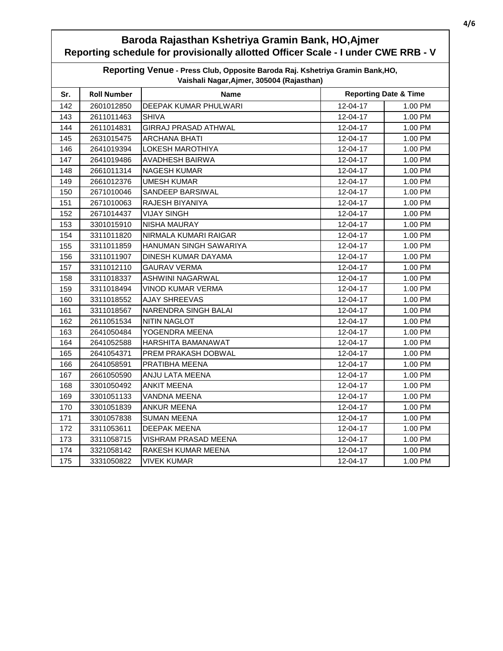| Baroda Rajasthan Kshetriya Gramin Bank, HO, Ajmer<br>Reporting schedule for provisionally allotted Officer Scale - I under CWE RRB - V |                    |                                                 |          |         |
|----------------------------------------------------------------------------------------------------------------------------------------|--------------------|-------------------------------------------------|----------|---------|
| Reporting Venue - Press Club, Opposite Baroda Raj. Kshetriya Gramin Bank, HO,<br>Vaishali Nagar, Ajmer, 305004 (Rajasthan)             |                    |                                                 |          |         |
| Sr.                                                                                                                                    | <b>Roll Number</b> | <b>Reporting Date &amp; Time</b><br><b>Name</b> |          |         |
| 142                                                                                                                                    | 2601012850         | DEEPAK KUMAR PHULWARI                           | 12-04-17 | 1.00 PM |
| 143                                                                                                                                    | 2611011463         | <b>SHIVA</b>                                    | 12-04-17 | 1.00 PM |
| 144                                                                                                                                    | 2611014831         | <b>GIRRAJ PRASAD ATHWAL</b>                     | 12-04-17 | 1.00 PM |
| 145                                                                                                                                    | 2631015475         | <b>ARCHANA BHATI</b>                            | 12-04-17 | 1.00 PM |
| 146                                                                                                                                    | 2641019394         | LOKESH MAROTHIYA                                | 12-04-17 | 1.00 PM |
| 147                                                                                                                                    | 2641019486         | AVADHESH BAIRWA                                 | 12-04-17 | 1.00 PM |
| 148                                                                                                                                    | 2661011314         | <b>NAGESH KUMAR</b>                             | 12-04-17 | 1.00 PM |
| 149                                                                                                                                    | 2661012376         | <b>UMESH KUMAR</b>                              | 12-04-17 | 1.00 PM |
| 150                                                                                                                                    | 2671010046         | SANDEEP BARSIWAL                                | 12-04-17 | 1.00 PM |
| 151                                                                                                                                    | 2671010063         | RAJESH BIYANIYA                                 | 12-04-17 | 1.00 PM |
| 152                                                                                                                                    | 2671014437         | <b>VIJAY SINGH</b>                              | 12-04-17 | 1.00 PM |
| 153                                                                                                                                    | 3301015910         | NISHA MAURAY                                    | 12-04-17 | 1.00 PM |
| 154                                                                                                                                    | 3311011820         | NIRMALA KUMARI RAIGAR                           | 12-04-17 | 1.00 PM |
| 155                                                                                                                                    | 3311011859         | HANUMAN SINGH SAWARIYA                          | 12-04-17 | 1.00 PM |
| 156                                                                                                                                    | 3311011907         | DINESH KUMAR DAYAMA                             | 12-04-17 | 1.00 PM |
| 157                                                                                                                                    | 3311012110         | <b>GAURAV VERMA</b>                             | 12-04-17 | 1.00 PM |
| 158                                                                                                                                    | 3311018337         | ASHWINI NAGARWAL                                | 12-04-17 | 1.00 PM |
| 159                                                                                                                                    | 3311018494         | <b>VINOD KUMAR VERMA</b>                        | 12-04-17 | 1.00 PM |
| 160                                                                                                                                    | 3311018552         | <b>AJAY SHREEVAS</b>                            | 12-04-17 | 1.00 PM |
| 161                                                                                                                                    | 3311018567         | NARENDRA SINGH BALAI                            | 12-04-17 | 1.00 PM |
| 162                                                                                                                                    | 2611051534         | <b>NITIN NAGLOT</b>                             | 12-04-17 | 1.00 PM |
| 163                                                                                                                                    | 2641050484         | YOGENDRA MEENA                                  | 12-04-17 | 1.00 PM |
| 164                                                                                                                                    | 2641052588         | HARSHITA BAMANAWAT                              | 12-04-17 | 1.00 PM |
| 165                                                                                                                                    | 2641054371         | PREM PRAKASH DOBWAL                             | 12-04-17 | 1.00 PM |
| 166                                                                                                                                    | 2641058591         | PRATIBHA MEENA                                  | 12-04-17 | 1.00 PM |
| 167                                                                                                                                    | 2661050590         | ANJU LATA MEENA                                 | 12-04-17 | 1.00 PM |
| 168                                                                                                                                    | 3301050492         | <b>ANKIT MEENA</b>                              | 12-04-17 | 1.00 PM |
| 169                                                                                                                                    | 3301051133         | <b>VANDNA MEENA</b>                             | 12-04-17 | 1.00 PM |
| 170                                                                                                                                    | 3301051839         | <b>ANKUR MEENA</b>                              | 12-04-17 | 1.00 PM |
| 171                                                                                                                                    | 3301057838         | <b>SUMAN MEENA</b>                              | 12-04-17 | 1.00 PM |
| 172                                                                                                                                    | 3311053611         | DEEPAK MEENA                                    | 12-04-17 | 1.00 PM |
| 173                                                                                                                                    | 3311058715         | VISHRAM PRASAD MEENA                            | 12-04-17 | 1.00 PM |
| 174                                                                                                                                    | 3321058142         | RAKESH KUMAR MEENA                              | 12-04-17 | 1.00 PM |
| 175                                                                                                                                    | 3331050822         | <b>VIVEK KUMAR</b>                              | 12-04-17 | 1.00 PM |

 $\mathbf{r}$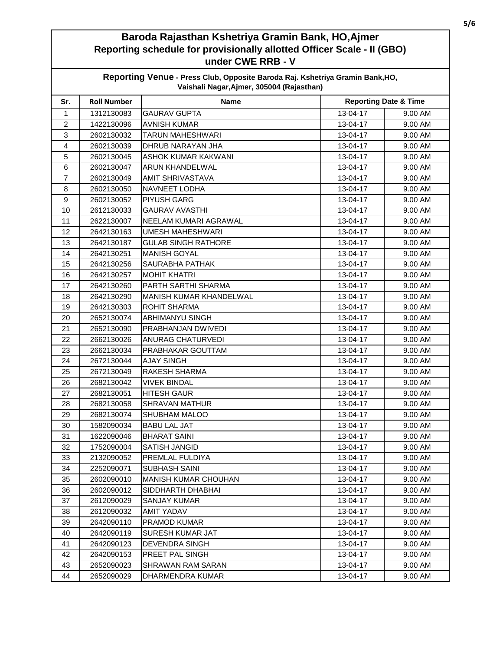## **Baroda Rajasthan Kshetriya Gramin Bank, HO,Ajmer Reporting schedule for provisionally allotted Officer Scale - II (GBO) under CWE RRB - V**

| Reporting Venue - Press Club, Opposite Baroda Raj. Kshetriya Gramin Bank, HO,<br>Vaishali Nagar, Ajmer, 305004 (Rajasthan) |                    |                            |                                  |         |
|----------------------------------------------------------------------------------------------------------------------------|--------------------|----------------------------|----------------------------------|---------|
| Sr.                                                                                                                        | <b>Roll Number</b> | Name                       | <b>Reporting Date &amp; Time</b> |         |
| $\mathbf{1}$                                                                                                               | 1312130083         | <b>GAURAV GUPTA</b>        | 13-04-17                         | 9.00 AM |
| $\overline{c}$                                                                                                             | 1422130096         | <b>AVNISH KUMAR</b>        | 13-04-17                         | 9.00 AM |
| 3                                                                                                                          | 2602130032         | TARUN MAHESHWARI           | 13-04-17                         | 9.00 AM |
| $\overline{4}$                                                                                                             | 2602130039         | DHRUB NARAYAN JHA          | 13-04-17                         | 9.00 AM |
| 5                                                                                                                          | 2602130045         | ASHOK KUMAR KAKWANI        | 13-04-17                         | 9.00 AM |
| 6                                                                                                                          | 2602130047         | <b>ARUN KHANDELWAL</b>     | 13-04-17                         | 9.00 AM |
| $\overline{7}$                                                                                                             | 2602130049         | <b>AMIT SHRIVASTAVA</b>    | 13-04-17                         | 9.00 AM |
| 8                                                                                                                          | 2602130050         | NAVNEET LODHA              | 13-04-17                         | 9.00 AM |
| 9                                                                                                                          | 2602130052         | <b>PIYUSH GARG</b>         | 13-04-17                         | 9.00 AM |
| 10                                                                                                                         | 2612130033         | <b>GAURAV AVASTHI</b>      | 13-04-17                         | 9.00 AM |
| 11                                                                                                                         | 2622130007         | NEELAM KUMARI AGRAWAL      | 13-04-17                         | 9.00 AM |
| 12                                                                                                                         | 2642130163         | <b>UMESH MAHESHWARI</b>    | 13-04-17                         | 9.00 AM |
| 13                                                                                                                         | 2642130187         | <b>GULAB SINGH RATHORE</b> | 13-04-17                         | 9.00 AM |
| 14                                                                                                                         | 2642130251         | <b>MANISH GOYAL</b>        | 13-04-17                         | 9.00 AM |
| 15                                                                                                                         | 2642130256         | <b>SAURABHA PATHAK</b>     | 13-04-17                         | 9.00 AM |
| 16                                                                                                                         | 2642130257         | <b>MOHIT KHATRI</b>        | 13-04-17                         | 9.00 AM |
| 17                                                                                                                         | 2642130260         | PARTH SARTHI SHARMA        | 13-04-17                         | 9.00 AM |
| 18                                                                                                                         | 2642130290         | MANISH KUMAR KHANDELWAL    | 13-04-17                         | 9.00 AM |
| 19                                                                                                                         | 2642130303         | <b>ROHIT SHARMA</b>        | 13-04-17                         | 9.00 AM |
| 20                                                                                                                         | 2652130074         | <b>ABHIMANYU SINGH</b>     | 13-04-17                         | 9.00 AM |
| 21                                                                                                                         | 2652130090         | PRABHANJAN DWIVEDI         | 13-04-17                         | 9.00 AM |
| 22                                                                                                                         | 2662130026         | ANURAG CHATURVEDI          | 13-04-17                         | 9.00 AM |
| 23                                                                                                                         | 2662130034         | PRABHAKAR GOUTTAM          | 13-04-17                         | 9.00 AM |
| 24                                                                                                                         | 2672130044         | <b>AJAY SINGH</b>          | 13-04-17                         | 9.00 AM |
| 25                                                                                                                         | 2672130049         | RAKESH SHARMA              | 13-04-17                         | 9.00 AM |
| 26                                                                                                                         | 2682130042         | <b>VIVEK BINDAL</b>        | 13-04-17                         | 9.00 AM |
| 27                                                                                                                         | 2682130051         | <b>HITESH GAUR</b>         | 13-04-17                         | 9.00 AM |
| 28                                                                                                                         | 2682130058         | <b>SHRAVAN MATHUR</b>      | 13-04-17                         | 9.00 AM |
| 29                                                                                                                         | 2682130074         | SHUBHAM MALOO              | 13-04-17                         | 9.00 AM |
| 30                                                                                                                         | 1582090034         | <b>BABU LAL JAT</b>        | 13-04-17                         | 9.00 AM |
| 31                                                                                                                         | 1622090046         | <b>BHARAT SAINI</b>        | 13-04-17                         | 9.00 AM |
| 32                                                                                                                         | 1752090004         | <b>SATISH JANGID</b>       | 13-04-17                         | 9.00 AM |
| 33                                                                                                                         | 2132090052         | PREMLAL FULDIYA            | 13-04-17                         | 9.00 AM |
| 34                                                                                                                         | 2252090071         | <b>SUBHASH SAINI</b>       | 13-04-17                         | 9.00 AM |
| 35                                                                                                                         | 2602090010         | MANISH KUMAR CHOUHAN       | 13-04-17                         | 9.00 AM |
| 36                                                                                                                         | 2602090012         | SIDDHARTH DHABHAI          | 13-04-17                         | 9.00 AM |
| 37                                                                                                                         | 2612090029         | <b>SANJAY KUMAR</b>        | 13-04-17                         | 9.00 AM |
| 38                                                                                                                         | 2612090032         | AMIT YADAV                 | 13-04-17                         | 9.00 AM |
| 39                                                                                                                         | 2642090110         | PRAMOD KUMAR               | 13-04-17                         | 9.00 AM |
| 40                                                                                                                         | 2642090119         | SURESH KUMAR JAT           | 13-04-17                         | 9.00 AM |
| 41                                                                                                                         | 2642090123         | <b>DEVENDRA SINGH</b>      | 13-04-17                         | 9.00 AM |
| 42                                                                                                                         | 2642090153         | PREET PAL SINGH            | 13-04-17                         | 9.00 AM |
| 43                                                                                                                         | 2652090023         | SHRAWAN RAM SARAN          | 13-04-17                         | 9.00 AM |
| 44                                                                                                                         | 2652090029         | DHARMENDRA KUMAR           | 13-04-17                         | 9.00 AM |